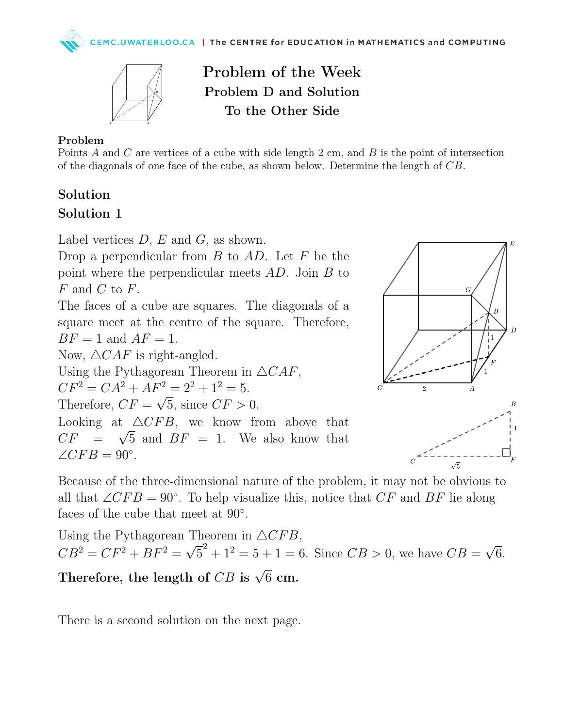

Problem of the Week Problem D and Solution To the Other Side

#### Problem

Points A and C are vertices of a cube with side length  $2 \text{ cm}$ , and  $B$  is the point of intersection of the diagonals of one face of the cube, as shown below. Determine the length of CB.

#### Solution

### Solution 1

Label vertices  $D, E$  and  $G$ , as shown.

Drop a perpendicular from  $B$  to  $AD$ . Let  $F$  be the point where the perpendicular meets AD. Join B to F and C to F.

The faces of a cube are squares. The diagonals of a square meet at the centre of the square. Therefore,  $BF = 1$  and  $AF = 1$ .

Now,  $\triangle CAF$  is right-angled.

Using the Pythagorean Theorem in  $\triangle CAF$ ,

 $CF^2 = CA^2 + AF^2 = 2^2 + 1^2 = 5.$ 

Therefore,  $CF = \sqrt{5}$ , since  $CF > 0$ .

Looking at  $\triangle CFB$ , we know from above that  $CF = \sqrt{5}$  and  $BF = 1$ . We also know that  $\angle CFB = 90^\circ.$ 



Because of the three-dimensional nature of the problem, it may not be obvious to all that  $\angle CFB = 90^\circ$ . To help visualize this, notice that  $CF$  and  $BF$  lie along faces of the cube that meet at 90°.

Using the Pythagorean Theorem in  $\triangle CFB$ ,  $CB^2 = CF^2 + BF^2 =$ √  $5^2 + 1^2 = 5 + 1 = 6$ . Since  $CB > 0$ , we have  $CB =$ √ 6.

# Therefore, the length of  $CB$  is  $\sqrt{6}$  cm.

There is a second solution on the next page.